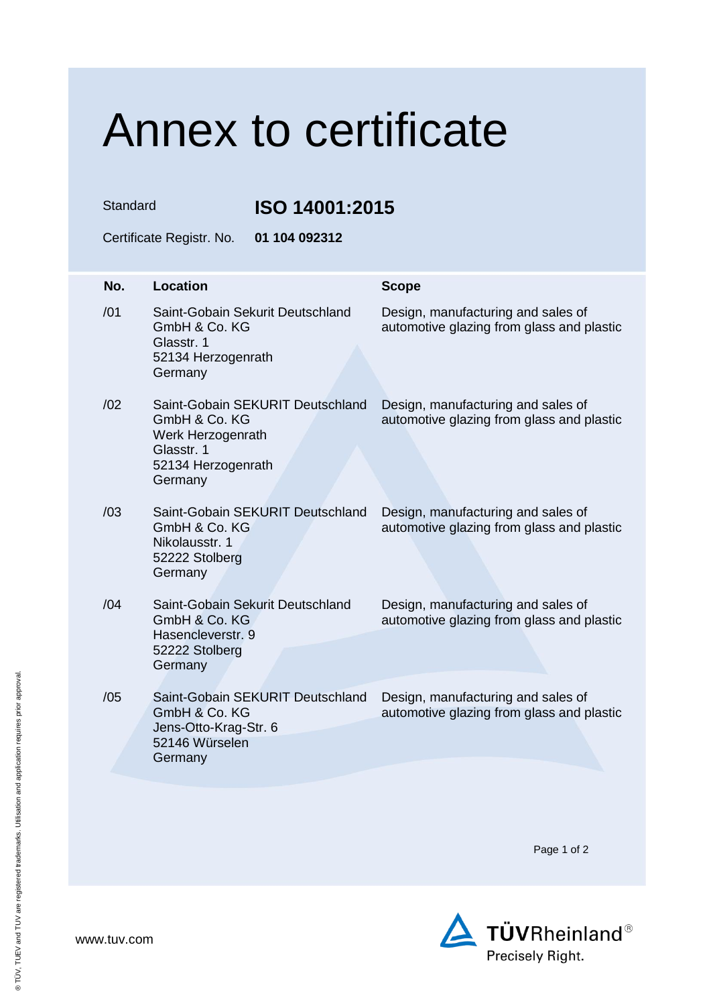## Annex to certificate

Standard **ISO 14001:2015**

Certificate Registr. No. **01 104 092312**

| No. | <b>Location</b>                                                                                                       | <b>Scope</b>                                                                    |
|-----|-----------------------------------------------------------------------------------------------------------------------|---------------------------------------------------------------------------------|
| /01 | Saint-Gobain Sekurit Deutschland<br>GmbH & Co. KG<br>Glasstr. 1<br>52134 Herzogenrath<br>Germany                      | Design, manufacturing and sales of<br>automotive glazing from glass and plastic |
| /02 | Saint-Gobain SEKURIT Deutschland<br>GmbH & Co. KG<br>Werk Herzogenrath<br>Glasstr. 1<br>52134 Herzogenrath<br>Germany | Design, manufacturing and sales of<br>automotive glazing from glass and plastic |
| /03 | Saint-Gobain SEKURIT Deutschland<br>GmbH & Co. KG<br>Nikolausstr. 1<br>52222 Stolberg<br>Germany                      | Design, manufacturing and sales of<br>automotive glazing from glass and plastic |
| /04 | Saint-Gobain Sekurit Deutschland<br>GmbH & Co. KG<br>Hasencleverstr, 9<br>52222 Stolberg<br>Germany                   | Design, manufacturing and sales of<br>automotive glazing from glass and plastic |
| /05 | Saint-Gobain SEKURIT Deutschland<br>GmbH & Co. KG<br>Jens-Otto-Krag-Str. 6<br>52146 Würselen<br>Germany               | Design, manufacturing and sales of<br>automotive glazing from glass and plastic |

Page 1 of 2